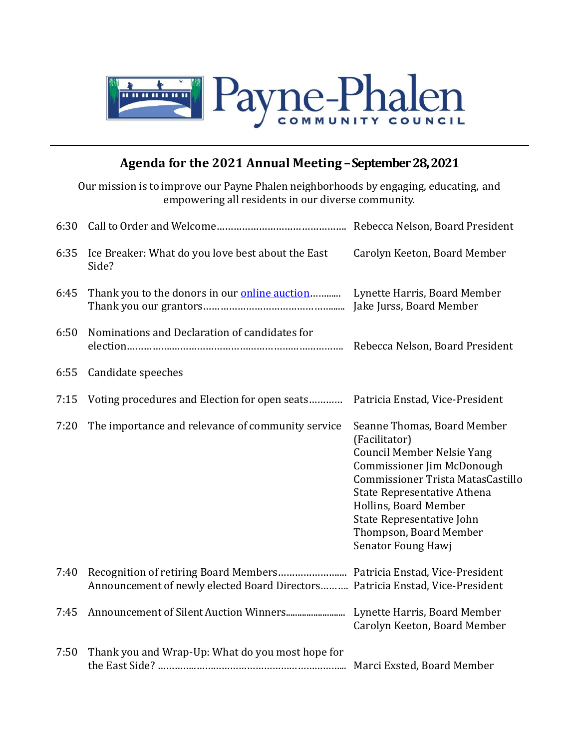

## **Agenda for the 2021 Annual Meeting –September 28, 2021**

Our mission is to improve our Payne Phalen neighborhoods by engaging, educating, and empowering all residents in our diverse community.

| 6:30 |                                                                               |                                                                                                                                                                                                                                                                                                  |
|------|-------------------------------------------------------------------------------|--------------------------------------------------------------------------------------------------------------------------------------------------------------------------------------------------------------------------------------------------------------------------------------------------|
| 6:35 | Ice Breaker: What do you love best about the East<br>Side?                    | Carolyn Keeton, Board Member                                                                                                                                                                                                                                                                     |
| 6:45 | Thank you to the donors in our <i>online auction</i> .                        | Lynette Harris, Board Member<br>Jake Jurss, Board Member                                                                                                                                                                                                                                         |
| 6:50 | Nominations and Declaration of candidates for                                 |                                                                                                                                                                                                                                                                                                  |
| 6:55 | Candidate speeches                                                            |                                                                                                                                                                                                                                                                                                  |
| 7:15 | Voting procedures and Election for open seats                                 | Patricia Enstad, Vice-President                                                                                                                                                                                                                                                                  |
| 7:20 | The importance and relevance of community service                             | Seanne Thomas, Board Member<br>(Facilitator)<br><b>Council Member Nelsie Yang</b><br><b>Commissioner Jim McDonough</b><br>Commissioner Trista MatasCastillo<br>State Representative Athena<br>Hollins, Board Member<br>State Representative John<br>Thompson, Board Member<br>Senator Foung Hawj |
| 7:40 | Announcement of newly elected Board Directors Patricia Enstad, Vice-President |                                                                                                                                                                                                                                                                                                  |
| 7:45 |                                                                               | Lynette Harris, Board Member<br>Carolyn Keeton, Board Member                                                                                                                                                                                                                                     |
| 7:50 | Thank you and Wrap-Up: What do you most hope for                              |                                                                                                                                                                                                                                                                                                  |